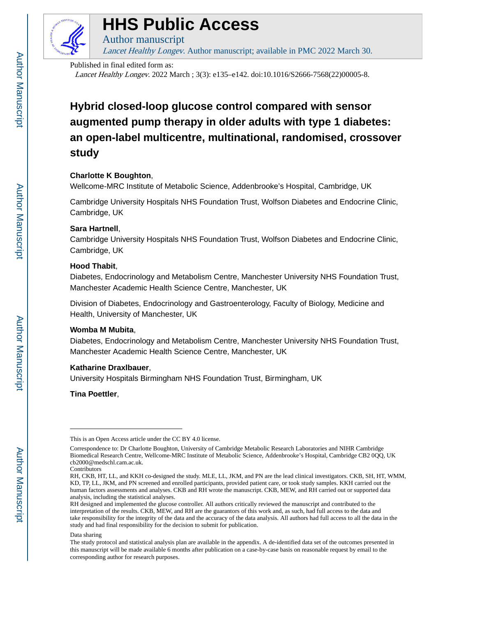

# **HHS Public Access**

Lancet Healthy Longev. Author manuscript; available in PMC 2022 March 30.

Published in final edited form as:

Author manuscript

Lancet Healthy Longev. 2022 March ; 3(3): e135–e142. doi:10.1016/S2666-7568(22)00005-8.

## **Hybrid closed-loop glucose control compared with sensor augmented pump therapy in older adults with type 1 diabetes: an open-label multicentre, multinational, randomised, crossover study**

## **Charlotte K Boughton**,

Wellcome-MRC Institute of Metabolic Science, Addenbrooke's Hospital, Cambridge, UK

Cambridge University Hospitals NHS Foundation Trust, Wolfson Diabetes and Endocrine Clinic, Cambridge, UK

## **Sara Hartnell**,

Cambridge University Hospitals NHS Foundation Trust, Wolfson Diabetes and Endocrine Clinic, Cambridge, UK

## **Hood Thabit**,

Diabetes, Endocrinology and Metabolism Centre, Manchester University NHS Foundation Trust, Manchester Academic Health Science Centre, Manchester, UK

Division of Diabetes, Endocrinology and Gastroenterology, Faculty of Biology, Medicine and Health, University of Manchester, UK

## **Womba M Mubita**,

Diabetes, Endocrinology and Metabolism Centre, Manchester University NHS Foundation Trust, Manchester Academic Health Science Centre, Manchester, UK

## **Katharine Draxlbauer**,

University Hospitals Birmingham NHS Foundation Trust, Birmingham, UK

**Tina Poettler**,

Contributors

#### Data sharing

This is an Open Access article under the CC BY 4.0 license.

Correspondence to: Dr Charlotte Boughton, University of Cambridge Metabolic Research Laboratories and NIHR Cambridge Biomedical Research Centre, Wellcome-MRC Institute of Metabolic Science, Addenbrooke's Hospital, Cambridge CB2 0QQ, UK cb2000@medschl.cam.ac.uk.

RH, CKB, HT, LL, and KKH co-designed the study. MLE, LL, JKM, and PN are the lead clinical investigators. CKB, SH, HT, WMM, KD, TP, LL, JKM, and PN screened and enrolled participants, provided patient care, or took study samples. KKH carried out the human factors assessments and analyses. CKB and RH wrote the manuscript. CKB, MEW, and RH carried out or supported data analysis, including the statistical analyses.

RH designed and implemented the glucose controller. All authors critically reviewed the manuscript and contributed to the interpretation of the results. CKB, MEW, and RH are the guarantors of this work and, as such, had full access to the data and take responsibility for the integrity of the data and the accuracy of the data analysis. All authors had full access to all the data in the study and had final responsibility for the decision to submit for publication.

The study protocol and statistical analysis plan are available in the appendix. A de-identified data set of the outcomes presented in this manuscript will be made available 6 months after publication on a case-by-case basis on reasonable request by email to the corresponding author for research purposes.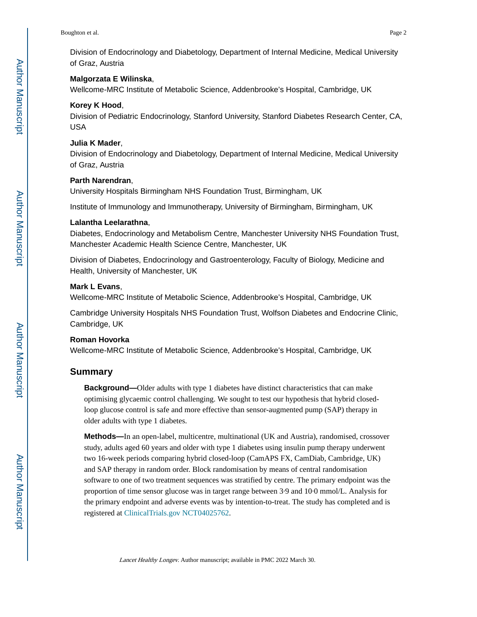Division of Endocrinology and Diabetology, Department of Internal Medicine, Medical University of Graz, Austria

#### **Malgorzata E Wilinska**,

Wellcome-MRC Institute of Metabolic Science, Addenbrooke's Hospital, Cambridge, UK

#### **Korey K Hood**,

Division of Pediatric Endocrinology, Stanford University, Stanford Diabetes Research Center, CA, USA

#### **Julia K Mader**,

Division of Endocrinology and Diabetology, Department of Internal Medicine, Medical University of Graz, Austria

#### **Parth Narendran**,

University Hospitals Birmingham NHS Foundation Trust, Birmingham, UK

Institute of Immunology and Immunotherapy, University of Birmingham, Birmingham, UK

#### **Lalantha Leelarathna**,

Diabetes, Endocrinology and Metabolism Centre, Manchester University NHS Foundation Trust, Manchester Academic Health Science Centre, Manchester, UK

Division of Diabetes, Endocrinology and Gastroenterology, Faculty of Biology, Medicine and Health, University of Manchester, UK

## **Mark L Evans**,

Wellcome-MRC Institute of Metabolic Science, Addenbrooke's Hospital, Cambridge, UK

Cambridge University Hospitals NHS Foundation Trust, Wolfson Diabetes and Endocrine Clinic, Cambridge, UK

#### **Roman Hovorka**

Wellcome-MRC Institute of Metabolic Science, Addenbrooke's Hospital, Cambridge, UK

## **Summary**

**Background—**Older adults with type 1 diabetes have distinct characteristics that can make optimising glycaemic control challenging. We sought to test our hypothesis that hybrid closedloop glucose control is safe and more effective than sensor-augmented pump (SAP) therapy in older adults with type 1 diabetes.

**Methods—**In an open-label, multicentre, multinational (UK and Austria), randomised, crossover study, adults aged 60 years and older with type 1 diabetes using insulin pump therapy underwent two 16-week periods comparing hybrid closed-loop (CamAPS FX, CamDiab, Cambridge, UK) and SAP therapy in random order. Block randomisation by means of central randomisation software to one of two treatment sequences was stratified by centre. The primary endpoint was the proportion of time sensor glucose was in target range between 3·9 and 10·0 mmol/L. Analysis for the primary endpoint and adverse events was by intention-to-treat. The study has completed and is registered at [ClinicalTrials.gov](https://ClinicalTrials.gov) [NCT04025762](https://clinicaltrials.gov/ct2/show/NCT04025762).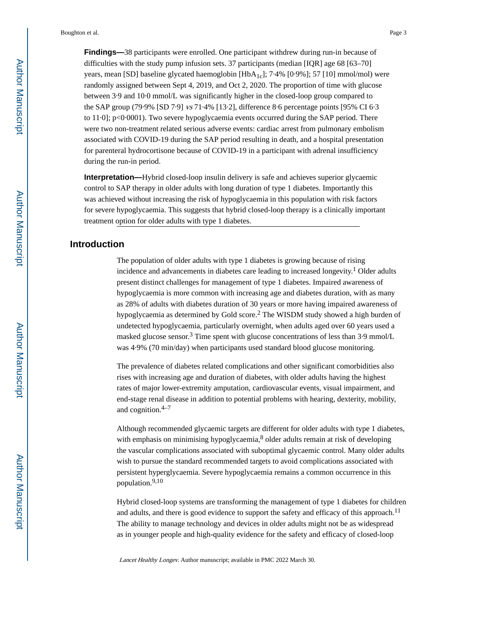**Findings—**38 participants were enrolled. One participant withdrew during run-in because of difficulties with the study pump infusion sets. 37 participants (median [IQR] age 68 [63–70] years, mean [SD] baseline glycated haemoglobin [HbA1c]; 7·4% [0·9%]; 57 [10] mmol/mol) were randomly assigned between Sept 4, 2019, and Oct 2, 2020. The proportion of time with glucose between 3·9 and 10·0 mmol/L was significantly higher in the closed-loop group compared to the SAP group (79·9% [SD 7·9] vs 71·4% [13·2], difference 8·6 percentage points [95% CI 6·3 to 11·0]; p<0·0001). Two severe hypoglycaemia events occurred during the SAP period. There were two non-treatment related serious adverse events: cardiac arrest from pulmonary embolism associated with COVID-19 during the SAP period resulting in death, and a hospital presentation for parenteral hydrocortisone because of COVID-19 in a participant with adrenal insufficiency during the run-in period.

**Interpretation—**Hybrid closed-loop insulin delivery is safe and achieves superior glycaemic control to SAP therapy in older adults with long duration of type 1 diabetes. Importantly this was achieved without increasing the risk of hypoglycaemia in this population with risk factors for severe hypoglycaemia. This suggests that hybrid closed-loop therapy is a clinically important treatment option for older adults with type 1 diabetes.

## **Introduction**

The population of older adults with type 1 diabetes is growing because of rising incidence and advancements in diabetes care leading to increased longevity.<sup>1</sup> Older adults present distinct challenges for management of type 1 diabetes. Impaired awareness of hypoglycaemia is more common with increasing age and diabetes duration, with as many as 28% of adults with diabetes duration of 30 years or more having impaired awareness of hypoglycaemia as determined by Gold score.<sup>2</sup> The WISDM study showed a high burden of undetected hypoglycaemia, particularly overnight, when adults aged over 60 years used a masked glucose sensor.<sup>3</sup> Time spent with glucose concentrations of less than  $3.9 \text{ mmol/L}$ was 4·9% (70 min/day) when participants used standard blood glucose monitoring.

The prevalence of diabetes related complications and other significant comorbidities also rises with increasing age and duration of diabetes, with older adults having the highest rates of major lower-extremity amputation, cardiovascular events, visual impairment, and end-stage renal disease in addition to potential problems with hearing, dexterity, mobility, and cognition. $4-7$ 

Although recommended glycaemic targets are different for older adults with type 1 diabetes, with emphasis on minimising hypoglycaemia,<sup>8</sup> older adults remain at risk of developing the vascular complications associated with suboptimal glycaemic control. Many older adults wish to pursue the standard recommended targets to avoid complications associated with persistent hyperglycaemia. Severe hypoglycaemia remains a common occurrence in this population.9,10

Hybrid closed-loop systems are transforming the management of type 1 diabetes for children and adults, and there is good evidence to support the safety and efficacy of this approach.<sup>11</sup> The ability to manage technology and devices in older adults might not be as widespread as in younger people and high-quality evidence for the safety and efficacy of closed-loop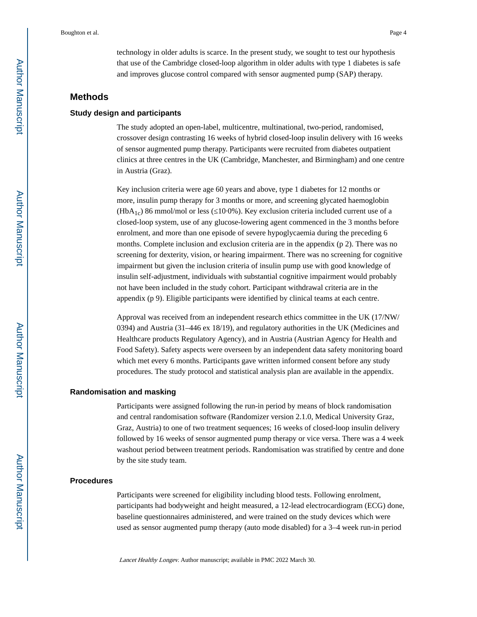technology in older adults is scarce. In the present study, we sought to test our hypothesis that use of the Cambridge closed-loop algorithm in older adults with type 1 diabetes is safe and improves glucose control compared with sensor augmented pump (SAP) therapy.

## **Methods**

#### **Study design and participants**

The study adopted an open-label, multicentre, multinational, two-period, randomised, crossover design contrasting 16 weeks of hybrid closed-loop insulin delivery with 16 weeks of sensor augmented pump therapy. Participants were recruited from diabetes outpatient clinics at three centres in the UK (Cambridge, Manchester, and Birmingham) and one centre in Austria (Graz).

Key inclusion criteria were age 60 years and above, type 1 diabetes for 12 months or more, insulin pump therapy for 3 months or more, and screening glycated haemoglobin  $(HbA<sub>1c</sub>)$  86 mmol/mol or less ( $10.0\%$ ). Key exclusion criteria included current use of a closed-loop system, use of any glucose-lowering agent commenced in the 3 months before enrolment, and more than one episode of severe hypoglycaemia during the preceding 6 months. Complete inclusion and exclusion criteria are in the appendix (p 2). There was no screening for dexterity, vision, or hearing impairment. There was no screening for cognitive impairment but given the inclusion criteria of insulin pump use with good knowledge of insulin self-adjustment, individuals with substantial cognitive impairment would probably not have been included in the study cohort. Participant withdrawal criteria are in the appendix (p 9). Eligible participants were identified by clinical teams at each centre.

Approval was received from an independent research ethics committee in the UK (17/NW/ 0394) and Austria (31–446 ex 18/19), and regulatory authorities in the UK (Medicines and Healthcare products Regulatory Agency), and in Austria (Austrian Agency for Health and Food Safety). Safety aspects were overseen by an independent data safety monitoring board which met every 6 months. Participants gave written informed consent before any study procedures. The study protocol and statistical analysis plan are available in the appendix.

#### **Randomisation and masking**

Participants were assigned following the run-in period by means of block randomisation and central randomisation software (Randomizer version 2.1.0, Medical University Graz, Graz, Austria) to one of two treatment sequences; 16 weeks of closed-loop insulin delivery followed by 16 weeks of sensor augmented pump therapy or vice versa. There was a 4 week washout period between treatment periods. Randomisation was stratified by centre and done by the site study team.

#### **Procedures**

Participants were screened for eligibility including blood tests. Following enrolment, participants had bodyweight and height measured, a 12-lead electrocardiogram (ECG) done, baseline questionnaires administered, and were trained on the study devices which were used as sensor augmented pump therapy (auto mode disabled) for a 3–4 week run-in period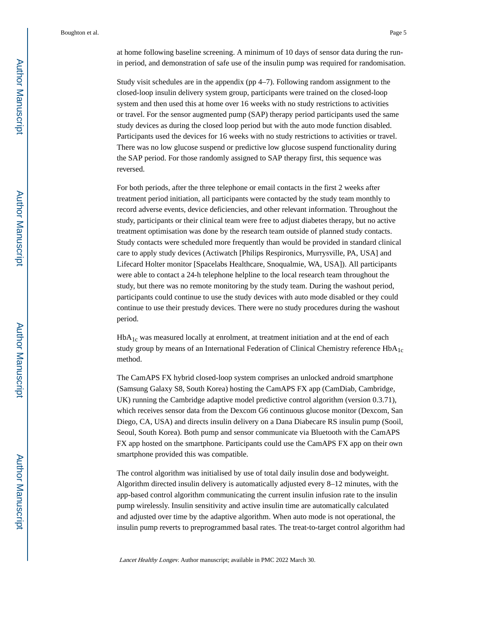at home following baseline screening. A minimum of 10 days of sensor data during the runin period, and demonstration of safe use of the insulin pump was required for randomisation.

Study visit schedules are in the appendix (pp 4–7). Following random assignment to the closed-loop insulin delivery system group, participants were trained on the closed-loop system and then used this at home over 16 weeks with no study restrictions to activities or travel. For the sensor augmented pump (SAP) therapy period participants used the same study devices as during the closed loop period but with the auto mode function disabled. Participants used the devices for 16 weeks with no study restrictions to activities or travel. There was no low glucose suspend or predictive low glucose suspend functionality during the SAP period. For those randomly assigned to SAP therapy first, this sequence was reversed.

For both periods, after the three telephone or email contacts in the first 2 weeks after treatment period initiation, all participants were contacted by the study team monthly to record adverse events, device deficiencies, and other relevant information. Throughout the study, participants or their clinical team were free to adjust diabetes therapy, but no active treatment optimisation was done by the research team outside of planned study contacts. Study contacts were scheduled more frequently than would be provided in standard clinical care to apply study devices (Actiwatch [Philips Respironics, Murrysville, PA, USA] and Lifecard Holter monitor [Spacelabs Healthcare, Snoqualmie, WA, USA]). All participants were able to contact a 24-h telephone helpline to the local research team throughout the study, but there was no remote monitoring by the study team. During the washout period, participants could continue to use the study devices with auto mode disabled or they could continue to use their prestudy devices. There were no study procedures during the washout period.

HbA<sub>1c</sub> was measured locally at enrolment, at treatment initiation and at the end of each study group by means of an International Federation of Clinical Chemistry reference  $HbA_{1c}$ method.

The CamAPS FX hybrid closed-loop system comprises an unlocked android smartphone (Samsung Galaxy S8, South Korea) hosting the CamAPS FX app (CamDiab, Cambridge, UK) running the Cambridge adaptive model predictive control algorithm (version 0.3.71), which receives sensor data from the Dexcom G6 continuous glucose monitor (Dexcom, San Diego, CA, USA) and directs insulin delivery on a Dana Diabecare RS insulin pump (Sooil, Seoul, South Korea). Both pump and sensor communicate via Bluetooth with the CamAPS FX app hosted on the smartphone. Participants could use the CamAPS FX app on their own smartphone provided this was compatible.

The control algorithm was initialised by use of total daily insulin dose and bodyweight. Algorithm directed insulin delivery is automatically adjusted every 8–12 minutes, with the app-based control algorithm communicating the current insulin infusion rate to the insulin pump wirelessly. Insulin sensitivity and active insulin time are automatically calculated and adjusted over time by the adaptive algorithm. When auto mode is not operational, the insulin pump reverts to preprogrammed basal rates. The treat-to-target control algorithm had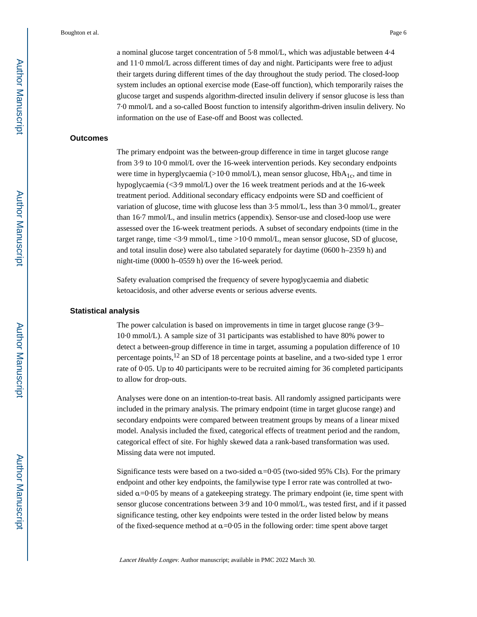a nominal glucose target concentration of 5·8 mmol/L, which was adjustable between 4·4 and 11·0 mmol/L across different times of day and night. Participants were free to adjust their targets during different times of the day throughout the study period. The closed-loop system includes an optional exercise mode (Ease-off function), which temporarily raises the glucose target and suspends algorithm-directed insulin delivery if sensor glucose is less than 7·0 mmol/L and a so-called Boost function to intensify algorithm-driven insulin delivery. No information on the use of Ease-off and Boost was collected.

#### **Outcomes**

The primary endpoint was the between-group difference in time in target glucose range from 3·9 to 10·0 mmol/L over the 16-week intervention periods. Key secondary endpoints were time in hyperglycaemia ( $>10.0$  mmol/L), mean sensor glucose,  $HbA<sub>1c</sub>$ , and time in hypoglycaemia (<3·9 mmol/L) over the 16 week treatment periods and at the 16-week treatment period. Additional secondary efficacy endpoints were SD and coefficient of variation of glucose, time with glucose less than 3·5 mmol/L, less than 3·0 mmol/L, greater than 16·7 mmol/L, and insulin metrics (appendix). Sensor-use and closed-loop use were assessed over the 16-week treatment periods. A subset of secondary endpoints (time in the target range, time <3·9 mmol/L, time >10·0 mmol/L, mean sensor glucose, SD of glucose, and total insulin dose) were also tabulated separately for daytime (0600 h–2359 h) and night-time (0000 h–0559 h) over the 16-week period.

Safety evaluation comprised the frequency of severe hypoglycaemia and diabetic ketoacidosis, and other adverse events or serious adverse events.

#### **Statistical analysis**

The power calculation is based on improvements in time in target glucose range (3·9– 10·0 mmol/L). A sample size of 31 participants was established to have 80% power to detect a between-group difference in time in target, assuming a population difference of 10 percentage points,<sup>12</sup> an SD of 18 percentage points at baseline, and a two-sided type 1 error rate of 0·05. Up to 40 participants were to be recruited aiming for 36 completed participants to allow for drop-outs.

Analyses were done on an intention-to-treat basis. All randomly assigned participants were included in the primary analysis. The primary endpoint (time in target glucose range) and secondary endpoints were compared between treatment groups by means of a linear mixed model. Analysis included the fixed, categorical effects of treatment period and the random, categorical effect of site. For highly skewed data a rank-based transformation was used. Missing data were not imputed.

Significance tests were based on a two-sided  $\alpha$ =0.05 (two-sided 95% CIs). For the primary endpoint and other key endpoints, the familywise type I error rate was controlled at twosided  $\alpha$ =0.05 by means of a gatekeeping strategy. The primary endpoint (ie, time spent with sensor glucose concentrations between 3·9 and 10·0 mmol/L, was tested first, and if it passed significance testing, other key endpoints were tested in the order listed below by means of the fixed-sequence method at  $\alpha$ =0.05 in the following order: time spent above target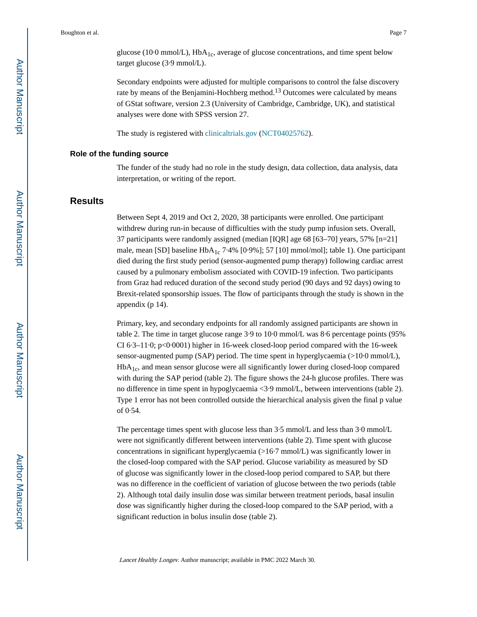glucose (10.0 mmol/L),  $HbA_{1c}$ , average of glucose concentrations, and time spent below target glucose (3·9 mmol/L).

Secondary endpoints were adjusted for multiple comparisons to control the false discovery rate by means of the Benjamini-Hochberg method.<sup>13</sup> Outcomes were calculated by means of GStat software, version 2.3 (University of Cambridge, Cambridge, UK), and statistical analyses were done with SPSS version 27.

The study is registered with [clinicaltrials.gov](https://clinicaltrials.gov) [\(NCT04025762](https://clinicaltrials.gov/ct2/show/NCT04025762)).

#### **Role of the funding source**

The funder of the study had no role in the study design, data collection, data analysis, data interpretation, or writing of the report.

## **Results**

Between Sept 4, 2019 and Oct 2, 2020, 38 participants were enrolled. One participant withdrew during run-in because of difficulties with the study pump infusion sets. Overall, 37 participants were randomly assigned (median [IQR] age 68 [63–70] years, 57% [n=21] male, mean [SD] baseline HbA<sub>1c</sub> 7.4% [0.9%]; 57 [10] mmol/mol]; table 1). One participant died during the first study period (sensor-augmented pump therapy) following cardiac arrest caused by a pulmonary embolism associated with COVID-19 infection. Two participants from Graz had reduced duration of the second study period (90 days and 92 days) owing to Brexit-related sponsorship issues. The flow of participants through the study is shown in the appendix (p 14).

Primary, key, and secondary endpoints for all randomly assigned participants are shown in table 2. The time in target glucose range 3·9 to 10·0 mmol/L was 8·6 percentage points (95% CI 6·3–11·0; p<0·0001) higher in 16-week closed-loop period compared with the 16-week sensor-augmented pump (SAP) period. The time spent in hyperglycaemia (>10·0 mmol/L),  $HbA<sub>1c</sub>$ , and mean sensor glucose were all significantly lower during closed-loop compared with during the SAP period (table 2). The figure shows the 24-h glucose profiles. There was no difference in time spent in hypoglycaemia <3·9 mmol/L, between interventions (table 2). Type 1 error has not been controlled outside the hierarchical analysis given the final p value of 0·54.

The percentage times spent with glucose less than 3·5 mmol/L and less than 3·0 mmol/L were not significantly different between interventions (table 2). Time spent with glucose concentrations in significant hyperglycaemia (>16·7 mmol/L) was significantly lower in the closed-loop compared with the SAP period. Glucose variability as measured by SD of glucose was significantly lower in the closed-loop period compared to SAP, but there was no difference in the coefficient of variation of glucose between the two periods (table 2). Although total daily insulin dose was similar between treatment periods, basal insulin dose was significantly higher during the closed-loop compared to the SAP period, with a significant reduction in bolus insulin dose (table 2).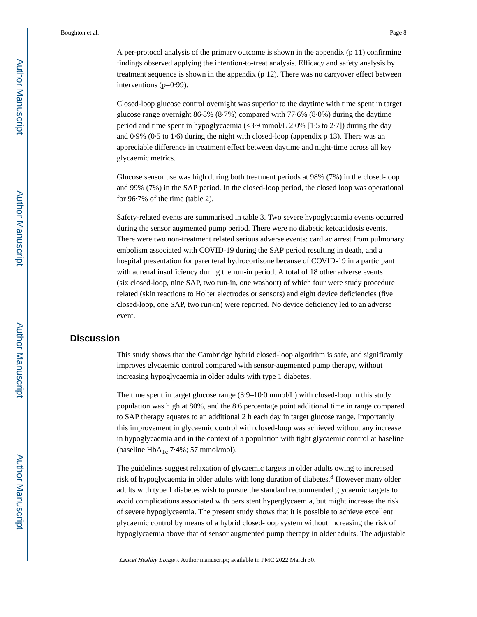A per-protocol analysis of the primary outcome is shown in the appendix (p 11) confirming findings observed applying the intention-to-treat analysis. Efficacy and safety analysis by treatment sequence is shown in the appendix (p 12). There was no carryover effect between interventions (p=0·99).

Closed-loop glucose control overnight was superior to the daytime with time spent in target glucose range overnight 86·8% (8·7%) compared with 77·6% (8·0%) during the daytime period and time spent in hypoglycaemia  $\langle 3.9 \text{ mmol/L } 2.0\%$  [1.5 to 2.7]) during the day and 0·9% (0·5 to 1·6) during the night with closed-loop (appendix p 13). There was an appreciable difference in treatment effect between daytime and night-time across all key glycaemic metrics.

Glucose sensor use was high during both treatment periods at 98% (7%) in the closed-loop and 99% (7%) in the SAP period. In the closed-loop period, the closed loop was operational for 96·7% of the time (table 2).

Safety-related events are summarised in table 3. Two severe hypoglycaemia events occurred during the sensor augmented pump period. There were no diabetic ketoacidosis events. There were two non-treatment related serious adverse events: cardiac arrest from pulmonary embolism associated with COVID-19 during the SAP period resulting in death, and a hospital presentation for parenteral hydrocortisone because of COVID-19 in a participant with adrenal insufficiency during the run-in period. A total of 18 other adverse events (six closed-loop, nine SAP, two run-in, one washout) of which four were study procedure related (skin reactions to Holter electrodes or sensors) and eight device deficiencies (five closed-loop, one SAP, two run-in) were reported. No device deficiency led to an adverse event.

## **Discussion**

This study shows that the Cambridge hybrid closed-loop algorithm is safe, and significantly improves glycaemic control compared with sensor-augmented pump therapy, without increasing hypoglycaemia in older adults with type 1 diabetes.

The time spent in target glucose range (3·9–10·0 mmol/L) with closed-loop in this study population was high at 80%, and the 8·6 percentage point additional time in range compared to SAP therapy equates to an additional 2 h each day in target glucose range. Importantly this improvement in glycaemic control with closed-loop was achieved without any increase in hypoglycaemia and in the context of a population with tight glycaemic control at baseline (baseline  $HbA_{1c}$  7.4%; 57 mmol/mol).

The guidelines suggest relaxation of glycaemic targets in older adults owing to increased risk of hypoglycaemia in older adults with long duration of diabetes.<sup>8</sup> However many older adults with type 1 diabetes wish to pursue the standard recommended glycaemic targets to avoid complications associated with persistent hyperglycaemia, but might increase the risk of severe hypoglycaemia. The present study shows that it is possible to achieve excellent glycaemic control by means of a hybrid closed-loop system without increasing the risk of hypoglycaemia above that of sensor augmented pump therapy in older adults. The adjustable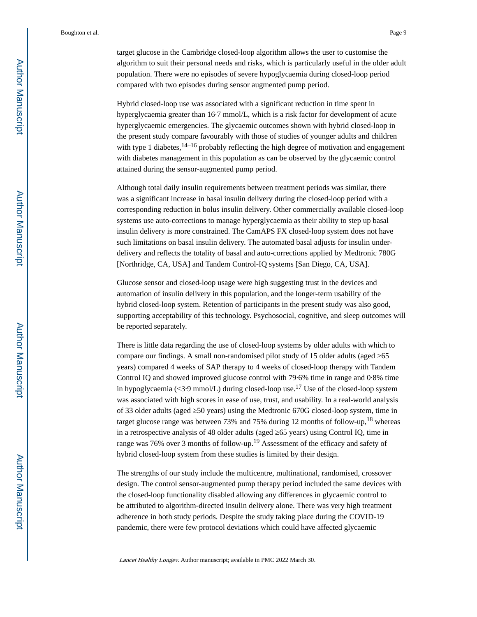target glucose in the Cambridge closed-loop algorithm allows the user to customise the

algorithm to suit their personal needs and risks, which is particularly useful in the older adult population. There were no episodes of severe hypoglycaemia during closed-loop period compared with two episodes during sensor augmented pump period.

Hybrid closed-loop use was associated with a significant reduction in time spent in hyperglycaemia greater than 16·7 mmol/L, which is a risk factor for development of acute hyperglycaemic emergencies. The glycaemic outcomes shown with hybrid closed-loop in the present study compare favourably with those of studies of younger adults and children with type 1 diabetes,  $14-16$  probably reflecting the high degree of motivation and engagement with diabetes management in this population as can be observed by the glycaemic control attained during the sensor-augmented pump period.

Although total daily insulin requirements between treatment periods was similar, there was a significant increase in basal insulin delivery during the closed-loop period with a corresponding reduction in bolus insulin delivery. Other commercially available closed-loop systems use auto-corrections to manage hyperglycaemia as their ability to step up basal insulin delivery is more constrained. The CamAPS FX closed-loop system does not have such limitations on basal insulin delivery. The automated basal adjusts for insulin underdelivery and reflects the totality of basal and auto-corrections applied by Medtronic 780G [Northridge, CA, USA] and Tandem Control-IQ systems [San Diego, CA, USA].

Glucose sensor and closed-loop usage were high suggesting trust in the devices and automation of insulin delivery in this population, and the longer-term usability of the hybrid closed-loop system. Retention of participants in the present study was also good, supporting acceptability of this technology. Psychosocial, cognitive, and sleep outcomes will be reported separately.

There is little data regarding the use of closed-loop systems by older adults with which to compare our findings. A small non-randomised pilot study of 15 older adults (aged 65 years) compared 4 weeks of SAP therapy to 4 weeks of closed-loop therapy with Tandem Control IQ and showed improved glucose control with 79·6% time in range and 0·8% time in hypoglycaemia (<3.9 mmol/L) during closed-loop use.<sup>17</sup> Use of the closed-loop system was associated with high scores in ease of use, trust, and usability. In a real-world analysis of 33 older adults (aged 50 years) using the Medtronic 670G closed-loop system, time in target glucose range was between 73% and 75% during 12 months of follow-up,  $18$  whereas in a retrospective analysis of 48 older adults (aged 65 years) using Control IQ, time in range was 76% over 3 months of follow-up.19 Assessment of the efficacy and safety of hybrid closed-loop system from these studies is limited by their design.

The strengths of our study include the multicentre, multinational, randomised, crossover design. The control sensor-augmented pump therapy period included the same devices with the closed-loop functionality disabled allowing any differences in glycaemic control to be attributed to algorithm-directed insulin delivery alone. There was very high treatment adherence in both study periods. Despite the study taking place during the COVID-19 pandemic, there were few protocol deviations which could have affected glycaemic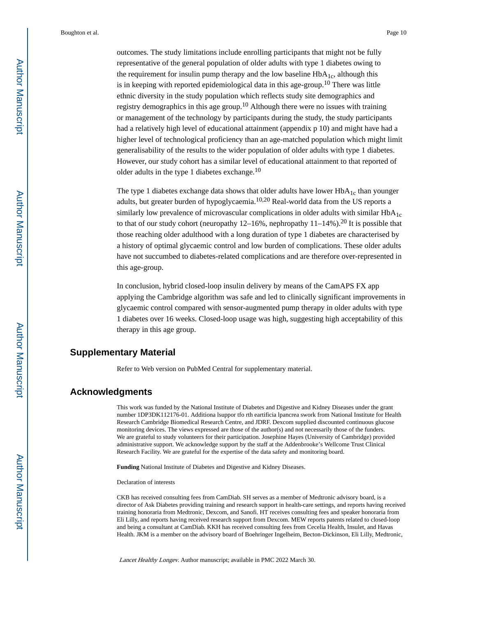outcomes. The study limitations include enrolling participants that might not be fully representative of the general population of older adults with type 1 diabetes owing to the requirement for insulin pump therapy and the low baseline  $HbA_{1c}$ , although this is in keeping with reported epidemiological data in this age-group.<sup>10</sup> There was little ethnic diversity in the study population which reflects study site demographics and registry demographics in this age group.<sup>10</sup> Although there were no issues with training or management of the technology by participants during the study, the study participants had a relatively high level of educational attainment (appendix p 10) and might have had a higher level of technological proficiency than an age-matched population which might limit generalisability of the results to the wider population of older adults with type 1 diabetes. However, our study cohort has a similar level of educational attainment to that reported of older adults in the type 1 diabetes exchange.<sup>10</sup>

The type 1 diabetes exchange data shows that older adults have lower  $HbA<sub>1c</sub>$  than younger adults, but greater burden of hypoglycaemia.<sup>10,20</sup> Real-world data from the US reports a similarly low prevalence of microvascular complications in older adults with similar  $HbA_{1c}$ to that of our study cohort (neuropathy  $12-16\%$ , nephropathy  $11-14\%$ ).<sup>20</sup> It is possible that those reaching older adulthood with a long duration of type 1 diabetes are characterised by a history of optimal glycaemic control and low burden of complications. These older adults have not succumbed to diabetes-related complications and are therefore over-represented in this age-group.

In conclusion, hybrid closed-loop insulin delivery by means of the CamAPS FX app applying the Cambridge algorithm was safe and led to clinically significant improvements in glycaemic control compared with sensor-augmented pump therapy in older adults with type 1 diabetes over 16 weeks. Closed-loop usage was high, suggesting high acceptability of this therapy in this age group.

## **Supplementary Material**

Refer to Web version on PubMed Central for supplementary material.

## **Acknowledgments**

This work was funded by the National Institute of Diabetes and Digestive and Kidney Diseases under the grant number 1DP3DK112176-01. Additiona lsuppor tfo rth eartificia lpancrea swork from National Institute for Health Research Cambridge Biomedical Research Centre, and JDRF. Dexcom supplied discounted continuous glucose monitoring devices. The views expressed are those of the author(s) and not necessarily those of the funders. We are grateful to study volunteers for their participation. Josephine Hayes (University of Cambridge) provided administrative support. We acknowledge support by the staff at the Addenbrooke's Wellcome Trust Clinical Research Facility. We are grateful for the expertise of the data safety and monitoring board.

**Funding** National Institute of Diabetes and Digestive and Kidney Diseases.

Declaration of interests

CKB has received consulting fees from CamDiab. SH serves as a member of Medtronic advisory board, is a director of Ask Diabetes providing training and research support in health-care settings, and reports having received training honoraria from Medtronic, Dexcom, and Sanofi. HT receives consulting fees and speaker honoraria from Eli Lilly, and reports having received research support from Dexcom. MEW reports patents related to closed-loop and being a consultant at CamDiab. KKH has received consulting fees from Cecelia Health, Insulet, and Havas Health. JKM is a member on the advisory board of Boehringer Ingelheim, Becton-Dickinson, Eli Lilly, Medtronic,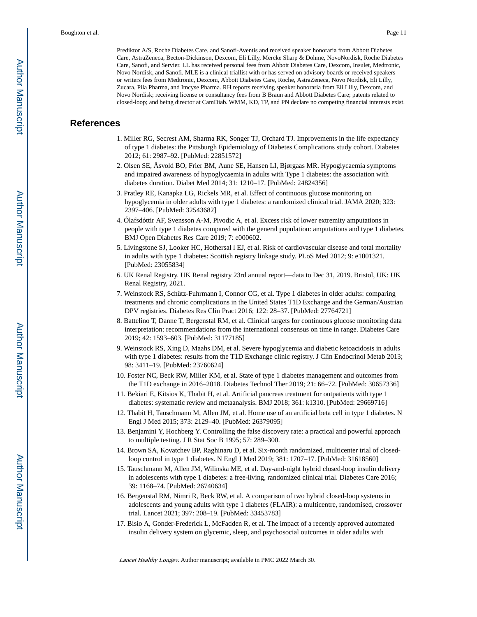Prediktor A/S, Roche Diabetes Care, and Sanofi-Aventis and received speaker honoraria from Abbott Diabetes Care, AstraZeneca, Becton-Dickinson, Dexcom, Eli Lilly, Mercke Sharp & Dohme, NovoNordisk, Roche Diabetes Care, Sanofi, and Servier. LL has received personal fees from Abbott Diabetes Care, Dexcom, Insulet, Medtronic, Novo Nordisk, and Sanofi. MLE is a clinical triallist with or has served on advisory boards or received speakers or writers fees from Medtronic, Dexcom, Abbott Diabetes Care, Roche, AstraZeneca, Novo Nordisk, Eli Lilly, Zucara, Pila Pharma, and Imcyse Pharma. RH reports receiving speaker honoraria from Eli Lilly, Dexcom, and Novo Nordisk; receiving license or consultancy fees from B Braun and Abbott Diabetes Care; patents related to closed-loop; and being director at CamDiab. WMM, KD, TP, and PN declare no competing financial interests exist.

## **References**

- 1. Miller RG, Secrest AM, Sharma RK, Songer TJ, Orchard TJ. Improvements in the life expectancy of type 1 diabetes: the Pittsburgh Epidemiology of Diabetes Complications study cohort. Diabetes 2012; 61: 2987–92. [PubMed: 22851572]
- 2. Olsen SE, Åsvold BO, Frier BM, Aune SE, Hansen LI, Bjørgaas MR. Hypoglycaemia symptoms and impaired awareness of hypoglycaemia in adults with Type 1 diabetes: the association with diabetes duration. Diabet Med 2014; 31: 1210–17. [PubMed: 24824356]
- 3. Pratley RE, Kanapka LG, Rickels MR, et al. Effect of continuous glucose monitoring on hypoglycemia in older adults with type 1 diabetes: a randomized clinical trial. JAMA 2020; 323: 2397–406. [PubMed: 32543682]
- 4. Ólafsdóttir AF, Svensson A-M, Pivodic A, et al. Excess risk of lower extremity amputations in people with type 1 diabetes compared with the general population: amputations and type 1 diabetes. BMJ Open Diabetes Res Care 2019; 7: e000602.
- 5. Livingstone SJ, Looker HC, Hothersal l EJ, et al. Risk of cardiovascular disease and total mortality in adults with type 1 diabetes: Scottish registry linkage study. PLoS Med 2012; 9: e1001321. [PubMed: 23055834]
- 6. UK Renal Registry. UK Renal registry 23rd annual report—data to Dec 31, 2019. Bristol, UK: UK Renal Registry, 2021.
- 7. Weinstock RS, Schütz-Fuhrmann I, Connor CG, et al. Type 1 diabetes in older adults: comparing treatments and chronic complications in the United States T1D Exchange and the German/Austrian DPV registries. Diabetes Res Clin Pract 2016; 122: 28–37. [PubMed: 27764721]
- 8. Battelino T, Danne T, Bergenstal RM, et al. Clinical targets for continuous glucose monitoring data interpretation: recommendations from the international consensus on time in range. Diabetes Care 2019; 42: 1593–603. [PubMed: 31177185]
- 9. Weinstock RS, Xing D, Maahs DM, et al. Severe hypoglycemia and diabetic ketoacidosis in adults with type 1 diabetes: results from the T1D Exchange clinic registry. J Clin Endocrinol Metab 2013; 98: 3411–19. [PubMed: 23760624]
- 10. Foster NC, Beck RW, Miller KM, et al. State of type 1 diabetes management and outcomes from the T1D exchange in 2016–2018. Diabetes Technol Ther 2019; 21: 66–72. [PubMed: 30657336]
- 11. Bekiari E, Kitsios K, Thabit H, et al. Artificial pancreas treatment for outpatients with type 1 diabetes: systematic review and metaanalysis. BMJ 2018; 361: k1310. [PubMed: 29669716]
- 12. Thabit H, Tauschmann M, Allen JM, et al. Home use of an artificial beta cell in type 1 diabetes. N Engl J Med 2015; 373: 2129–40. [PubMed: 26379095]
- 13. Benjamini Y, Hochberg Y. Controlling the false discovery rate: a practical and powerful approach to multiple testing. J R Stat Soc B 1995; 57: 289–300.
- 14. Brown SA, Kovatchev BP, Raghinaru D, et al. Six-month randomized, multicenter trial of closedloop control in type 1 diabetes. N Engl J Med 2019; 381: 1707–17. [PubMed: 31618560]
- 15. Tauschmann M, Allen JM, Wilinska ME, et al. Day-and-night hybrid closed-loop insulin delivery in adolescents with type 1 diabetes: a free-living, randomized clinical trial. Diabetes Care 2016; 39: 1168–74. [PubMed: 26740634]
- 16. Bergenstal RM, Nimri R, Beck RW, et al. A comparison of two hybrid closed-loop systems in adolescents and young adults with type 1 diabetes (FLAIR): a multicentre, randomised, crossover trial. Lancet 2021; 397: 208–19. [PubMed: 33453783]
- 17. Bisio A, Gonder-Frederick L, McFadden R, et al. The impact of a recently approved automated insulin delivery system on glycemic, sleep, and psychosocial outcomes in older adults with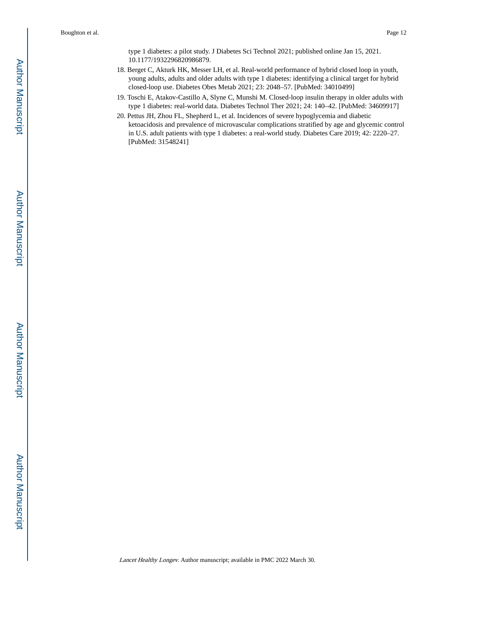type 1 diabetes: a pilot study. J Diabetes Sci Technol 2021; published online Jan 15, 2021. 10.1177/1932296820986879.

- 18. Berget C, Akturk HK, Messer LH, et al. Real-world performance of hybrid closed loop in youth, young adults, adults and older adults with type 1 diabetes: identifying a clinical target for hybrid closed-loop use. Diabetes Obes Metab 2021; 23: 2048–57. [PubMed: 34010499]
- 19. Toschi E, Atakov-Castillo A, Slyne C, Munshi M. Closed-loop insulin therapy in older adults with type 1 diabetes: real-world data. Diabetes Technol Ther 2021; 24: 140–42. [PubMed: 34609917]
- 20. Pettus JH, Zhou FL, Shepherd L, et al. Incidences of severe hypoglycemia and diabetic ketoacidosis and prevalence of microvascular complications stratified by age and glycemic control in U.S. adult patients with type 1 diabetes: a real-world study. Diabetes Care 2019; 42: 2220–27. [PubMed: 31548241]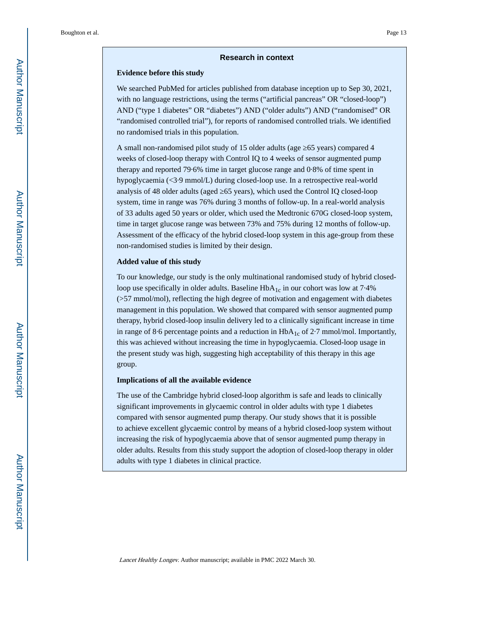#### **Research in context**

#### **Evidence before this study**

We searched PubMed for articles published from database inception up to Sep 30, 2021, with no language restrictions, using the terms ("artificial pancreas" OR "closed-loop") AND ("type 1 diabetes" OR "diabetes") AND ("older adults") AND ("randomised" OR "randomised controlled trial"), for reports of randomised controlled trials. We identified no randomised trials in this population.

A small non-randomised pilot study of 15 older adults (age 65 years) compared 4 weeks of closed-loop therapy with Control IQ to 4 weeks of sensor augmented pump therapy and reported 79·6% time in target glucose range and 0·8% of time spent in hypoglycaemia (<3·9 mmol/L) during closed-loop use. In a retrospective real-world analysis of 48 older adults (aged 65 years), which used the Control IQ closed-loop system, time in range was 76% during 3 months of follow-up. In a real-world analysis of 33 adults aged 50 years or older, which used the Medtronic 670G closed-loop system, time in target glucose range was between 73% and 75% during 12 months of follow-up. Assessment of the efficacy of the hybrid closed-loop system in this age-group from these non-randomised studies is limited by their design.

#### **Added value of this study**

To our knowledge, our study is the only multinational randomised study of hybrid closedloop use specifically in older adults. Baseline  $HbA_{1c}$  in our cohort was low at 7.4% (>57 mmol/mol), reflecting the high degree of motivation and engagement with diabetes management in this population. We showed that compared with sensor augmented pump therapy, hybrid closed-loop insulin delivery led to a clinically significant increase in time in range of 8.6 percentage points and a reduction in  $HbA_{1c}$  of 2.7 mmol/mol. Importantly, this was achieved without increasing the time in hypoglycaemia. Closed-loop usage in the present study was high, suggesting high acceptability of this therapy in this age group.

#### **Implications of all the available evidence**

The use of the Cambridge hybrid closed-loop algorithm is safe and leads to clinically significant improvements in glycaemic control in older adults with type 1 diabetes compared with sensor augmented pump therapy. Our study shows that it is possible to achieve excellent glycaemic control by means of a hybrid closed-loop system without increasing the risk of hypoglycaemia above that of sensor augmented pump therapy in older adults. Results from this study support the adoption of closed-loop therapy in older adults with type 1 diabetes in clinical practice.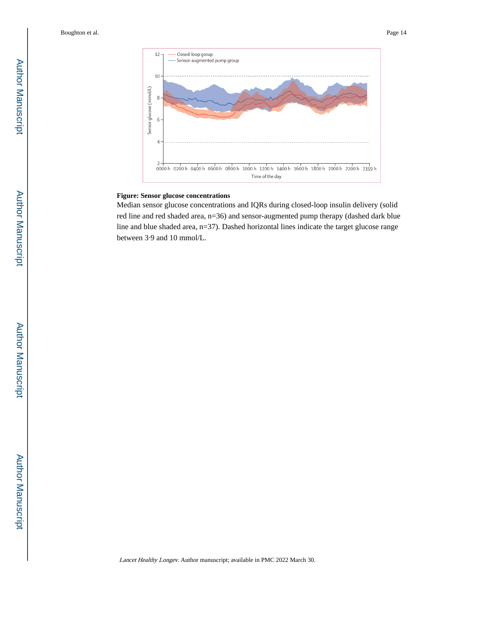

#### **Figure: Sensor glucose concentrations**

Median sensor glucose concentrations and IQRs during closed-loop insulin delivery (solid red line and red shaded area, n=36) and sensor-augmented pump therapy (dashed dark blue line and blue shaded area, n=37). Dashed horizontal lines indicate the target glucose range between 3·9 and 10 mmol/L.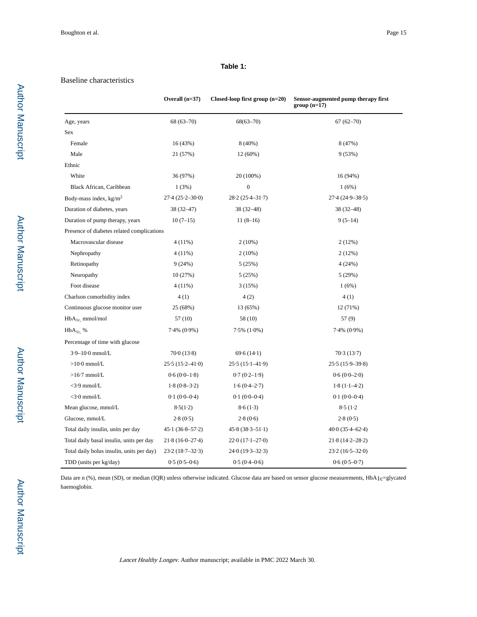#### **Table 1:**

#### Baseline characteristics

|                                            | Overall $(n=37)$          | Closed-loop first group $(n=20)$ | Sensor-augmented pump therapy first<br>$group(n=17)$ |
|--------------------------------------------|---------------------------|----------------------------------|------------------------------------------------------|
| Age, years                                 | $68(63 - 70)$             | $68(63 - 70)$                    | $67(62-70)$                                          |
| Sex                                        |                           |                                  |                                                      |
| Female                                     | 16 (43%)                  | $8(40\%)$                        | 8 (47%)                                              |
| Male                                       | 21 (57%)                  | 12(60%)                          | 9(53%)                                               |
| Ethnic                                     |                           |                                  |                                                      |
| White                                      | 36 (97%)                  | 20 (100%)                        | 16(94%)                                              |
| Black African, Caribbean                   | 1(3%)                     | $\boldsymbol{0}$                 | 1(6%)                                                |
| Body-mass index, $kg/m2$                   | $27.4(25.2 - 30.0)$       | $28.2(25.4 - 31.7)$              | $27.4(24.9 - 38.5)$                                  |
| Duration of diabetes, years                | $38(32 - 47)$             | $38(32-48)$                      | $38(32-48)$                                          |
| Duration of pump therapy, years            | $10(7-15)$                | $11(8-16)$                       | $9(5-14)$                                            |
| Presence of diabetes related complications |                           |                                  |                                                      |
| Macrovascular disease                      | $4(11\%)$                 | $2(10\%)$                        | 2(12%)                                               |
| Nephropathy                                | $4(11\%)$                 | $2(10\%)$                        | 2(12%)                                               |
| Retinopathy                                | 9(24%)                    | 5(25%)                           | 4(24%)                                               |
| Neuropathy                                 | 10(27%)                   | 5(25%)                           | 5(29%)                                               |
| Foot disease                               | $4(11\%)$                 | 3(15%)                           | 1(6%)                                                |
| Charlson comorbidity index                 | 4(1)                      | 4(2)                             | 4(1)                                                 |
| Continuous glucose monitor user            | 25 (68%)                  | 13 (65%)                         | 12 (71%)                                             |
| $HbA_{1c}$ mmol/mol                        | 57(10)                    | 58 (10)                          | 57(9)                                                |
| $HbA_{1c}$ %                               | $7.4\%$ $(0.9\%)$         | $7.5\%$ $(1.0\%)$                | $7.4\%$ $(0.9\%)$                                    |
| Percentage of time with glucose            |                           |                                  |                                                      |
| $3.9 - 10.0$ mmol/L                        | $70 \cdot 0 (13 \cdot 8)$ | 69.6(14.1)                       | 70.3(13.7)                                           |
| $>10.0$ mmol/L                             | $25.5(15.2 - 41.0)$       | $25.5(15.1-41.9)$                | $25.5(15.9 - 39.8)$                                  |
| $>16.7$ mmol/L                             | $0.6(0.0-1.8)$            | $0.7(0.2-1.9)$                   | $0.6(0.0-2.0)$                                       |
| $<$ 3.9 mmol/L                             | $1.8(0.8-3.2)$            | $1.6(0.4 - 2.7)$                 | $1.8(1.1-4.2)$                                       |
| $<$ 3.0 mmol/L                             | $0.1(0.0-0.4)$            | $0.1(0.0-0.4)$                   | $0.1(0.0-0.4)$                                       |
| Mean glucose, mmol/L                       | 8.5(1.2)                  | 8.6(1.3)                         | 8.5(1.2)                                             |
| Glucose, mmol/L                            | 2.8(0.5)                  | 2.8(0.6)                         | 2.8(0.5)                                             |
| Total daily insulin, units per day         | $45.1(36.8 - 57.2)$       | $45.8(38.3 - 51.1)$              | $40.0(35.4 - 62.4)$                                  |
| Total daily basal insulin, units per day   | $21.8(16.0 - 27.4)$       | $22.0(17.1 - 27.0)$              | $21.8(14.2 - 28.2)$                                  |
| Total daily bolus insulin, units per day)  | $23.2(18.7-32.3)$         | $24.0(19.3-32.3)$                | $23.2(16.5 - 32.0)$                                  |
| TDD (units per kg/day)                     | $0.5(0.5-0.6)$            | $0.5(0.4-0.6)$                   | $0.6(0.5-0.7)$                                       |

Data are n (%), mean (SD), or median (IQR) unless otherwise indicated. Glucose data are based on sensor glucose measurements,  $HbA_1c=glycated$ haemoglobin.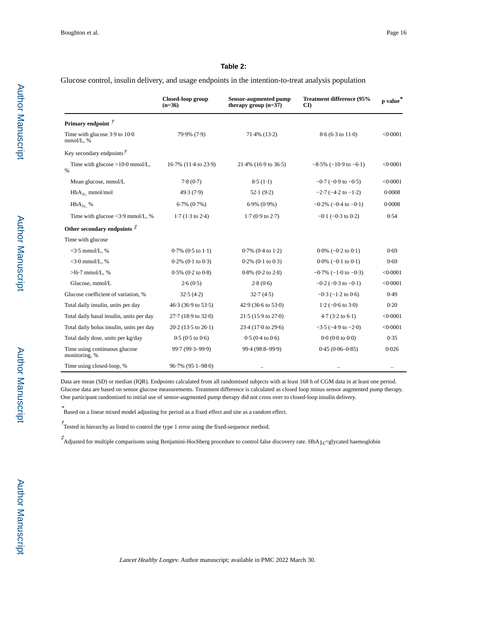#### **Table 2:**

Glucose control, insulin delivery, and usage endpoints in the intention-to-treat analysis population

|                                                            | Closed-loop group<br>$(n=36)$   | <b>Sensor-augmented pump</b><br>therapy group $(n=37)$ | Treatment difference (95%<br>CD | $\mathbf{p}$ value $^*$ |
|------------------------------------------------------------|---------------------------------|--------------------------------------------------------|---------------------------------|-------------------------|
| Primary endpoint $\vec{r}$                                 |                                 |                                                        |                                 |                         |
| Time with glucose 3.9 to 10.0<br>mmol/L, %                 | 79.9% (7.9)                     | $71.4\%$ (13.2)                                        | $8.6(6.3 \text{ to } 11.0)$     | < 0.0001                |
| Key secondary endpoints $\vec{r}$                          |                                 |                                                        |                                 |                         |
| Time with glucose $>10.0$ mmol/L,<br>$\%$                  | 16.7% (11.4 to 23.9)            | $21.4\%$ (16.9 to 36.5)                                | $-8.5\%$ ( $-10.9$ to $-6.1$ )  | < 0.0001                |
| Mean glucose, mmol/L                                       | 7.8(0.7)                        | 8.5(1.1)                                               | $-0.7$ ( $-0.9$ to $-0.5$ )     | < 0.0001                |
| $HbA_{1c}$ , mmol/mol                                      | 49.3(7.9)                       | 52.1(9.2)                                              | $-2.7$ ( $-4.2$ to $-1.2$ )     | 0.0008                  |
| $HbA_{1c}$ %                                               | $6.7\%$ $(0.7\%)$               | $6.9\%$ $(0.9\%)$                                      | $-0.2\%$ ( $-0.4$ to $-0.1$ )   | 0.0008                  |
| Time with glucose $\langle 3.9 \text{ mmol/L}, \, \rangle$ | $1.7(1.3 \text{ to } 2.4)$      | $1.7(0.9 \text{ to } 2.7)$                             | $-0.1$ ( $-0.3$ to $0.2$ )      | 0.54                    |
| Other secondary endpoints $\ddot{\mathcal{I}}$             |                                 |                                                        |                                 |                         |
| Time with glucose                                          |                                 |                                                        |                                 |                         |
| $<$ 3.5 mmol/L, %                                          | $0.7\%$ $(0.5 \text{ to } 1.1)$ | $0.7\%$ (0.4 to 1.2)                                   | $0.0\%$ (-0.2 to 0.1)           | 0.69                    |
| $<$ 3.0 mmol/L, %                                          | $0.2\%$ (0.1 to 0.3)            | $0.2\%$ (0.1 to 0.3)                                   | $0.0\%$ (-0.1 to 0.1)           | 0.69                    |
| $>16.7$ mmol/L, %                                          | $0.5\%$ $(0.2 \text{ to } 0.8)$ | $0.8\%$ $(0.2 \text{ to } 2.8)$                        | $-0.7\%$ ( $-1.0$ to $-0.3$ )   | < 0.0001                |
| Glucose, mmol/L                                            | 2.6(0.5)                        | 2.8(0.6)                                               | $-0.2$ ( $-0.3$ to $-0.1$ )     | < 0.0001                |
| Glucose coefficient of variation, %                        | 32.5(4.2)                       | 32.7(4.5)                                              | $-0.3$ ( $-1.2$ to 0.6)         | 0.49                    |
| Total daily insulin, units per day                         | 46.3 (36.9 to 53.5)             | 42.9 (36.6 to 53.0)                                    | $1.2$ (-0.6 to 3.0)             | 0.20                    |
| Total daily basal insulin, units per day                   | 27.7 (18.9 to 32.0)             | $21.5(15.9 \text{ to } 27.0)$                          | $4.7(3.2 \text{ to } 6.1)$      | < 0.0001                |
| Total daily bolus insulin, units per day                   | $20.2$ (13.5 to $26.1$ )        | 23.4 (17.0 to 29.6)                                    | $-3.5$ ( $-4.9$ to $-2.0$ )     | < 0.0001                |
| Total daily dose, units per kg/day                         | $0.5(0.5 \text{ to } 0.6)$      | $0.5(0.4 \text{ to } 0.6)$                             | 0.0(0.0 to 0.0)                 | 0.35                    |
| Time using continuous glucose<br>monitoring, %             | 99.7 (99.3-99.9)                | 99.4 (98.8-99.9)                                       | $0.45(0.06 - 0.85)$             | 0.026                   |
| Time using closed-loop, %                                  | $96.7\%$ $(95.1 - 98.0)$        | $\ddotsc$                                              |                                 | $\ddotsc$               |

Data are mean (SD) or median (IQR). Endpoints calculated from all randomised subjects with at least 168 h of CGM data in at least one period. Glucose data are based on sensor glucose measurements. Treatment difference is calculated as closed loop minus sensor augmented pump therapy. One participant randomised to initial use of sensor-augmented pump therapy did not cross over to closed-loop insulin delivery.

\* Based on a linear mixed model adjusting for period as a fixed effect and site as a random effect.

 $\dot{\tau}$  Tested in hierarchy as listed to control the type 1 error using the fixed-sequence method.

 $\vec{A}$ Adjusted for multiple comparisons using Benjamini-Hochberg procedure to control false discovery rate. HbA<sub>1c</sub>=glycated haemoglobin

Author Manuscript

Author Manuscript